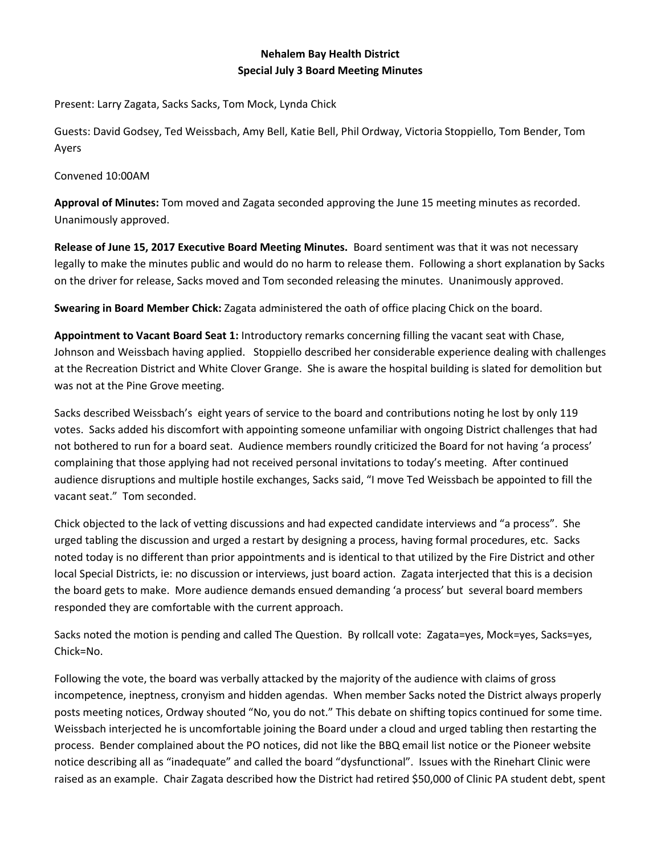## **Nehalem Bay Health District Special July 3 Board Meeting Minutes**

Present: Larry Zagata, Sacks Sacks, Tom Mock, Lynda Chick

Guests: David Godsey, Ted Weissbach, Amy Bell, Katie Bell, Phil Ordway, Victoria Stoppiello, Tom Bender, Tom Ayers

Convened 10:00AM

**Approval of Minutes:** Tom moved and Zagata seconded approving the June 15 meeting minutes as recorded. Unanimously approved.

**Release of June 15, 2017 Executive Board Meeting Minutes.** Board sentiment was that it was not necessary legally to make the minutes public and would do no harm to release them. Following a short explanation by Sacks on the driver for release, Sacks moved and Tom seconded releasing the minutes. Unanimously approved.

**Swearing in Board Member Chick:** Zagata administered the oath of office placing Chick on the board.

**Appointment to Vacant Board Seat 1:** Introductory remarks concerning filling the vacant seat with Chase, Johnson and Weissbach having applied. Stoppiello described her considerable experience dealing with challenges at the Recreation District and White Clover Grange. She is aware the hospital building is slated for demolition but was not at the Pine Grove meeting.

Sacks described Weissbach's eight years of service to the board and contributions noting he lost by only 119 votes. Sacks added his discomfort with appointing someone unfamiliar with ongoing District challenges that had not bothered to run for a board seat. Audience members roundly criticized the Board for not having 'a process' complaining that those applying had not received personal invitations to today's meeting. After continued audience disruptions and multiple hostile exchanges, Sacks said, "I move Ted Weissbach be appointed to fill the vacant seat." Tom seconded.

Chick objected to the lack of vetting discussions and had expected candidate interviews and "a process". She urged tabling the discussion and urged a restart by designing a process, having formal procedures, etc. Sacks noted today is no different than prior appointments and is identical to that utilized by the Fire District and other local Special Districts, ie: no discussion or interviews, just board action. Zagata interjected that this is a decision the board gets to make. More audience demands ensued demanding 'a process' but several board members responded they are comfortable with the current approach.

Sacks noted the motion is pending and called The Question. By rollcall vote: Zagata=yes, Mock=yes, Sacks=yes, Chick=No.

Following the vote, the board was verbally attacked by the majority of the audience with claims of gross incompetence, ineptness, cronyism and hidden agendas. When member Sacks noted the District always properly posts meeting notices, Ordway shouted "No, you do not." This debate on shifting topics continued for some time. Weissbach interjected he is uncomfortable joining the Board under a cloud and urged tabling then restarting the process. Bender complained about the PO notices, did not like the BBQ email list notice or the Pioneer website notice describing all as "inadequate" and called the board "dysfunctional". Issues with the Rinehart Clinic were raised as an example. Chair Zagata described how the District had retired \$50,000 of Clinic PA student debt, spent